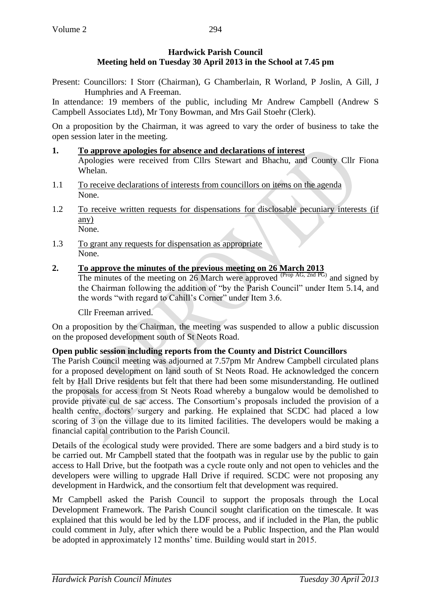## **Hardwick Parish Council Meeting held on Tuesday 30 April 2013 in the School at 7.45 pm**

Present: Councillors: I Storr (Chairman), G Chamberlain, R Worland, P Joslin, A Gill, J Humphries and A Freeman.

In attendance: 19 members of the public, including Mr Andrew Campbell (Andrew S Campbell Associates Ltd), Mr Tony Bowman, and Mrs Gail Stoehr (Clerk).

On a proposition by the Chairman, it was agreed to vary the order of business to take the open session later in the meeting.

#### **1. To approve apologies for absence and declarations of interest**

Apologies were received from Cllrs Stewart and Bhachu, and County Cllr Fiona Whelan.

- 1.1 To receive declarations of interests from councillors on items on the agenda None.
- 1.2 To receive written requests for dispensations for disclosable pecuniary interests (if any) None.
- 1.3 To grant any requests for dispensation as appropriate None.

#### **2. To approve the minutes of the previous meeting on 26 March 2013**

The minutes of the meeting on 26 March were approved  $^{(Prop\ AG, 2nd\ PG)}$  and signed by the Chairman following the addition of "by the Parish Council" under Item 5.14, and the words "with regard to Cahill's Corner" under Item 3.6.

Cllr Freeman arrived.

On a proposition by the Chairman, the meeting was suspended to allow a public discussion on the proposed development south of St Neots Road.

#### **Open public session including reports from the County and District Councillors**

The Parish Council meeting was adjourned at 7.57pm Mr Andrew Campbell circulated plans for a proposed development on land south of St Neots Road. He acknowledged the concern felt by Hall Drive residents but felt that there had been some misunderstanding. He outlined the proposals for access from St Neots Road whereby a bungalow would be demolished to provide private cul de sac access. The Consortium's proposals included the provision of a health centre, doctors' surgery and parking. He explained that SCDC had placed a low scoring of 3 on the village due to its limited facilities. The developers would be making a financial capital contribution to the Parish Council.

Details of the ecological study were provided. There are some badgers and a bird study is to be carried out. Mr Campbell stated that the footpath was in regular use by the public to gain access to Hall Drive, but the footpath was a cycle route only and not open to vehicles and the developers were willing to upgrade Hall Drive if required. SCDC were not proposing any development in Hardwick, and the consortium felt that development was required.

Mr Campbell asked the Parish Council to support the proposals through the Local Development Framework. The Parish Council sought clarification on the timescale. It was explained that this would be led by the LDF process, and if included in the Plan, the public could comment in July, after which there would be a Public Inspection, and the Plan would be adopted in approximately 12 months' time. Building would start in 2015.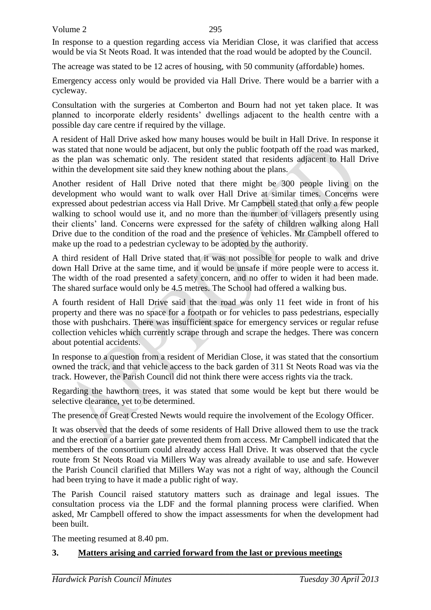In response to a question regarding access via Meridian Close, it was clarified that access would be via St Neots Road. It was intended that the road would be adopted by the Council.

The acreage was stated to be 12 acres of housing, with 50 community (affordable) homes.

Emergency access only would be provided via Hall Drive. There would be a barrier with a cycleway.

Consultation with the surgeries at Comberton and Bourn had not yet taken place. It was planned to incorporate elderly residents' dwellings adjacent to the health centre with a possible day care centre if required by the village.

A resident of Hall Drive asked how many houses would be built in Hall Drive. In response it was stated that none would be adjacent, but only the public footpath off the road was marked, as the plan was schematic only. The resident stated that residents adjacent to Hall Drive within the development site said they knew nothing about the plans.

Another resident of Hall Drive noted that there might be 300 people living on the development who would want to walk over Hall Drive at similar times. Concerns were expressed about pedestrian access via Hall Drive. Mr Campbell stated that only a few people walking to school would use it, and no more than the number of villagers presently using their clients' land. Concerns were expressed for the safety of children walking along Hall Drive due to the condition of the road and the presence of vehicles. Mr Campbell offered to make up the road to a pedestrian cycleway to be adopted by the authority.

A third resident of Hall Drive stated that it was not possible for people to walk and drive down Hall Drive at the same time, and it would be unsafe if more people were to access it. The width of the road presented a safety concern, and no offer to widen it had been made. The shared surface would only be 4.5 metres. The School had offered a walking bus.

A fourth resident of Hall Drive said that the road was only 11 feet wide in front of his property and there was no space for a footpath or for vehicles to pass pedestrians, especially those with pushchairs. There was insufficient space for emergency services or regular refuse collection vehicles which currently scrape through and scrape the hedges. There was concern about potential accidents.

In response to a question from a resident of Meridian Close, it was stated that the consortium owned the track, and that vehicle access to the back garden of 311 St Neots Road was via the track. However, the Parish Council did not think there were access rights via the track.

Regarding the hawthorn trees, it was stated that some would be kept but there would be selective clearance, yet to be determined.

The presence of Great Crested Newts would require the involvement of the Ecology Officer.

It was observed that the deeds of some residents of Hall Drive allowed them to use the track and the erection of a barrier gate prevented them from access. Mr Campbell indicated that the members of the consortium could already access Hall Drive. It was observed that the cycle route from St Neots Road via Millers Way was already available to use and safe. However the Parish Council clarified that Millers Way was not a right of way, although the Council had been trying to have it made a public right of way.

The Parish Council raised statutory matters such as drainage and legal issues. The consultation process via the LDF and the formal planning process were clarified. When asked, Mr Campbell offered to show the impact assessments for when the development had been built.

The meeting resumed at 8.40 pm.

## **3. Matters arising and carried forward from the last or previous meetings**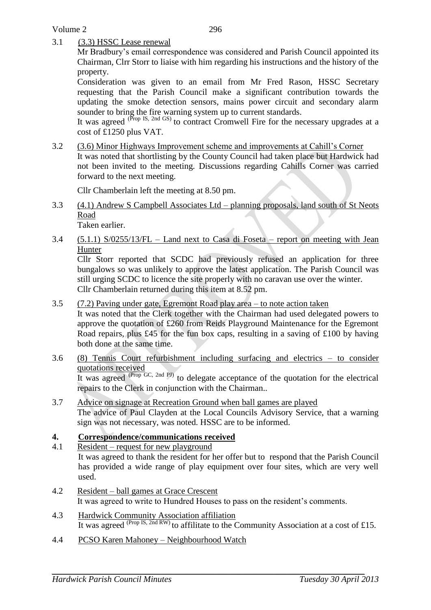Volume 2

3.1 (3.3) HSSC Lease renewal

Mr Bradbury's email correspondence was considered and Parish Council appointed its Chairman, Clrr Storr to liaise with him regarding his instructions and the history of the property.

Consideration was given to an email from Mr Fred Rason, HSSC Secretary requesting that the Parish Council make a significant contribution towards the updating the smoke detection sensors, mains power circuit and secondary alarm sounder to bring the fire warning system up to current standards.

It was agreed (Prop IS, 2nd GS) to contract Cromwell Fire for the necessary upgrades at a cost of £1250 plus VAT.

3.2 (3.6) Minor Highways Improvement scheme and improvements at Cahill's Corner It was noted that shortlisting by the County Council had taken place but Hardwick had not been invited to the meeting. Discussions regarding Cahills Corner was carried forward to the next meeting.

Cllr Chamberlain left the meeting at 8.50 pm.

3.3 (4.1) Andrew S Campbell Associates Ltd – planning proposals, land south of St Neots Road

Taken earlier.

3.4 (5.1.1) S/0255/13/FL – Land next to Casa di Foseta – report on meeting with Jean Hunter

Cllr Storr reported that SCDC had previously refused an application for three bungalows so was unlikely to approve the latest application. The Parish Council was still urging SCDC to licence the site properly with no caravan use over the winter. Cllr Chamberlain returned during this item at 8.52 pm.

3.5 (7.2) Paving under gate, Egremont Road play area – to note action taken

It was noted that the Clerk together with the Chairman had used delegated powers to approve the quotation of  $\pounds 260$  from Reids Playground Maintenance for the Egremont Road repairs, plus £45 for the fun box caps, resulting in a saving of £100 by having both done at the same time.

3.6 (8) Tennis Court refurbishment including surfacing and electrics – to consider quotations received It was agreed (Prop GC, 2nd PJ) to delegate acceptance of the quotation for the electrical

repairs to the Clerk in conjunction with the Chairman..

3.7 Advice on signage at Recreation Ground when ball games are played The advice of Paul Clayden at the Local Councils Advisory Service, that a warning sign was not necessary, was noted. HSSC are to be informed.

## **4. Correspondence/communications received**

- 4.1 Resident request for new playground It was agreed to thank the resident for her offer but to respond that the Parish Council has provided a wide range of play equipment over four sites, which are very well used.
- 4.2 Resident ball games at Grace Crescent It was agreed to write to Hundred Houses to pass on the resident's comments.
- 4.3 Hardwick Community Association affiliation It was agreed  $(\text{Prop IS}, \text{2nd RW})$  to affilitate to the Community Association at a cost of £15.
- 4.4 PCSO Karen Mahoney Neighbourhood Watch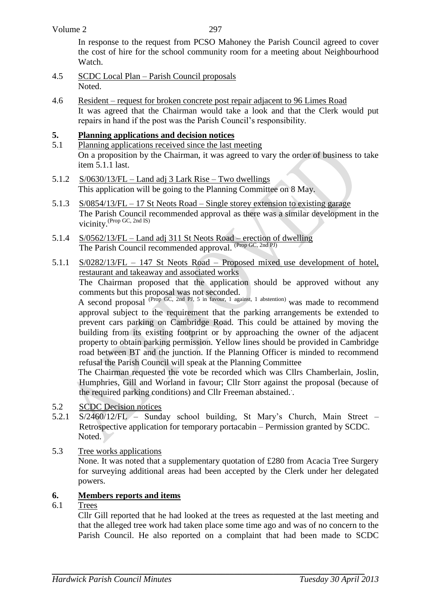#### Volume 2

297

In response to the request from PCSO Mahoney the Parish Council agreed to cover the cost of hire for the school community room for a meeting about Neighbourhood Watch.

- 4.5 SCDC Local Plan Parish Council proposals Noted.
- 4.6 Resident request for broken concrete post repair adjacent to 96 Limes Road It was agreed that the Chairman would take a look and that the Clerk would put repairs in hand if the post was the Parish Council's responsibility.

## **5. Planning applications and decision notices**

- 5.1 Planning applications received since the last meeting On a proposition by the Chairman, it was agreed to vary the order of business to take item 5.1.1 last.
- 5.1.2 S/0630/13/FL Land adj 3 Lark Rise Two dwellings This application will be going to the Planning Committee on 8 May.
- 5.1.3 S/0854/13/FL 17 St Neots Road Single storey extension to existing garage The Parish Council recommended approval as there was a similar development in the vicinity. (Prop GC, 2nd IS)
- 5.1.4 S/0562/13/FL Land adj 311 St Neots Road erection of dwelling The Parish Council recommended approval. (Prop GC, 2nd PJ)
- 5.1.1 S/0282/13/FL 147 St Neots Road Proposed mixed use development of hotel, restaurant and takeaway and associated works

The Chairman proposed that the application should be approved without any comments but this proposal was not seconded.

A second proposal (Prop GC, 2nd PJ, 5 in favour, 1 against, 1 abstention) was made to recommend approval subject to the requirement that the parking arrangements be extended to prevent cars parking on Cambridge Road. This could be attained by moving the building from its existing footprint or by approaching the owner of the adjacent property to obtain parking permission. Yellow lines should be provided in Cambridge road between BT and the junction. If the Planning Officer is minded to recommend refusal the Parish Council will speak at the Planning Committee

The Chairman requested the vote be recorded which was Cllrs Chamberlain, Joslin, Humphries, Gill and Worland in favour; Cllr Storr against the proposal (because of the required parking conditions) and Cllr Freeman abstained.. .

- 5.2 SCDC Decision notices
- 5.2.1 S/2460/12/FL Sunday school building, St Mary's Church, Main Street Retrospective application for temporary portacabin – Permission granted by SCDC. Noted.
- 5.3 Tree works applications

None. It was noted that a supplementary quotation of £280 from Acacia Tree Surgery for surveying additional areas had been accepted by the Clerk under her delegated powers.

### **6. Members reports and items**

6.1 Trees

Cllr Gill reported that he had looked at the trees as requested at the last meeting and that the alleged tree work had taken place some time ago and was of no concern to the Parish Council. He also reported on a complaint that had been made to SCDC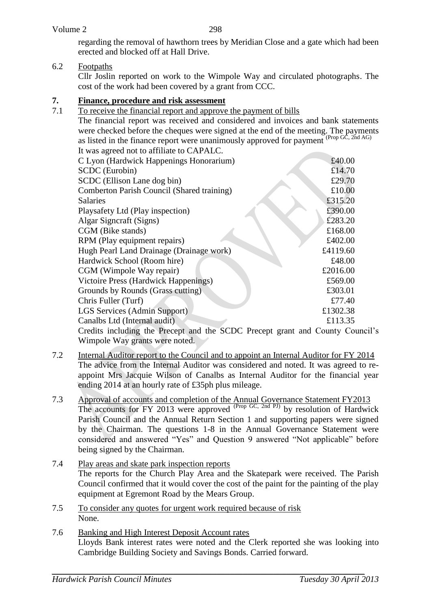298

regarding the removal of hawthorn trees by Meridian Close and a gate which had been erected and blocked off at Hall Drive.

# 6.2 Footpaths

Cllr Joslin reported on work to the Wimpole Way and circulated photographs. The cost of the work had been covered by a grant from CCC.

# **7. Finance, procedure and risk assessment**

7.1 To receive the financial report and approve the payment of bills The financial report was received and considered and invoices and bank statements were checked before the cheques were signed at the end of the meeting. The payments as listed in the finance report were unanimously approved for payment  $(\text{Proof}, 2nd AG)$ It was agreed not to affiliate to CAPALC.

| C Lyon (Hardwick Happenings Honorarium)                                       | £40.00   |
|-------------------------------------------------------------------------------|----------|
| SCDC (Eurobin)                                                                | £14.70   |
| SCDC (Ellison Lane dog bin)                                                   | £29.70   |
| Comberton Parish Council (Shared training)                                    | £10.00   |
| <b>Salaries</b>                                                               | £315.20  |
| Playsafety Ltd (Play inspection)                                              | £390.00  |
| Algar Signeraft (Signs)                                                       | £283.20  |
| CGM (Bike stands)                                                             | £168.00  |
| RPM (Play equipment repairs)                                                  | £402.00  |
| Hugh Pearl Land Drainage (Drainage work)                                      | £4119.60 |
| Hardwick School (Room hire)                                                   | £48.00   |
| CGM (Wimpole Way repair)                                                      | £2016.00 |
| Victoire Press (Hardwick Happenings)                                          | £569.00  |
| Grounds by Rounds (Grass cutting)                                             | £303.01  |
| Chris Fuller (Turf)                                                           | £77.40   |
| LGS Services (Admin Support)                                                  | £1302.38 |
| Canalbs Ltd (Internal audit)                                                  | £113.35  |
| Credits including the Precept and the SCDC Precept grant and County Council's |          |

Wimpole Way grants were noted.

- 7.2 Internal Auditor report to the Council and to appoint an Internal Auditor for FY 2014 The advice from the Internal Auditor was considered and noted. It was agreed to reappoint Mrs Jacquie Wilson of Canalbs as Internal Auditor for the financial year ending 2014 at an hourly rate of £35ph plus mileage.
- 7.3 Approval of accounts and completion of the Annual Governance Statement FY2013 The accounts for FY 2013 were approved <sup>(Prop GC, 2nd PJ)</sup> by resolution of Hardwick Parish Council and the Annual Return Section 1 and supporting papers were signed by the Chairman. The questions 1-8 in the Annual Governance Statement were considered and answered "Yes" and Question 9 answered "Not applicable" before being signed by the Chairman.
- 7.4 Play areas and skate park inspection reports The reports for the Church Play Area and the Skatepark were received. The Parish Council confirmed that it would cover the cost of the paint for the painting of the play equipment at Egremont Road by the Mears Group.
- 7.5 To consider any quotes for urgent work required because of risk None.
- 7.6 Banking and High Interest Deposit Account rates Lloyds Bank interest rates were noted and the Clerk reported she was looking into Cambridge Building Society and Savings Bonds. Carried forward.